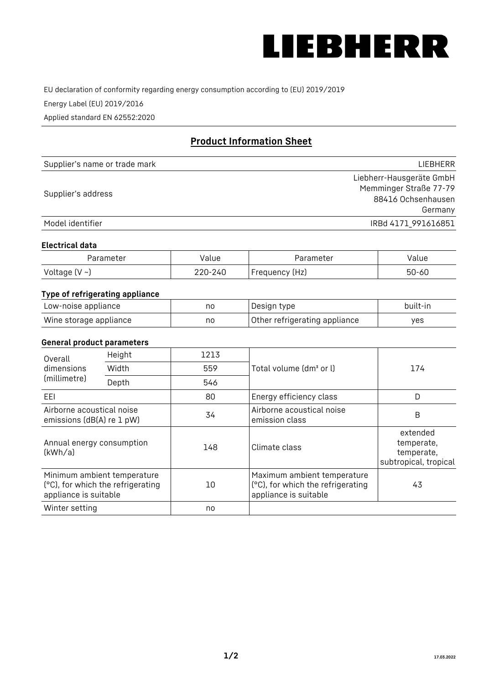

EU declaration of conformity regarding energy consumption according to (EU) 2019/2019

Energy Label (EU) 2019/2016

Applied standard EN 62552:2020

# **Product Information Sheet**

| Supplier's name or trade mark | LIEBHERR                 |
|-------------------------------|--------------------------|
|                               | Liebherr-Hausgeräte GmbH |
| Supplier's address            | Memminger Straße 77-79   |
|                               | 88416 Ochsenhausen       |
|                               | Germany                  |
| Model identifier              | IRBd 4171 991616851      |

#### **Electrical data**

| Parameter           | Value   | Parameter      | alue/     |
|---------------------|---------|----------------|-----------|
| Voltage (V $\sim$ ) | 220-240 | Frequency (Hz) | $50 - 60$ |

# **Type of refrigerating appliance**

| Low-noise appliance    | no | Design type                   | built-in |
|------------------------|----|-------------------------------|----------|
| Wine storage appliance | nc | Other refrigerating appliance | ves      |

## **General product parameters**

| Height<br>Overall<br>dimensions<br>Width<br>(millimetre)<br>Depth |                                                                  | 1213 |                                                                                           | 174                                                           |
|-------------------------------------------------------------------|------------------------------------------------------------------|------|-------------------------------------------------------------------------------------------|---------------------------------------------------------------|
|                                                                   |                                                                  | 559  | Total volume (dm <sup>3</sup> or l)                                                       |                                                               |
|                                                                   |                                                                  | 546  |                                                                                           |                                                               |
| EEL                                                               |                                                                  | 80   | Energy efficiency class                                                                   | D                                                             |
| Airborne acoustical noise<br>emissions (dB(A) re 1 pW)            |                                                                  | 34   | Airborne acoustical noise<br>emission class                                               | B                                                             |
| Annual energy consumption<br>(kWh/a)                              |                                                                  | 148  | Climate class                                                                             | extended<br>temperate,<br>temperate,<br>subtropical, tropical |
| appliance is suitable                                             | Minimum ambient temperature<br>(°C), for which the refrigerating | 10   | Maximum ambient temperature<br>(°C), for which the refrigerating<br>appliance is suitable | 43                                                            |
| Winter setting                                                    |                                                                  | no   |                                                                                           |                                                               |